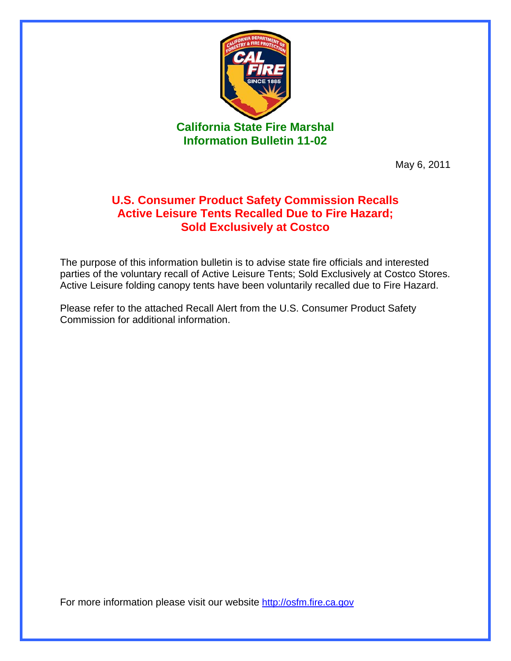

May 6, 2011

## **U.S. Consumer Product Safety Commission Recalls Active Leisure Tents Recalled Due to Fire Hazard; Sold Exclusively at Costco**

The purpose of this information bulletin is to advise state fire officials and interested parties of the voluntary recall of Active Leisure Tents; Sold Exclusively at Costco Stores. Active Leisure folding canopy tents have been voluntarily recalled due to Fire Hazard.

Please refer to the attached Recall Alert from the U.S. Consumer Product Safety Commission for additional information.

For more information please visit our website http://osfm.fire.ca.gov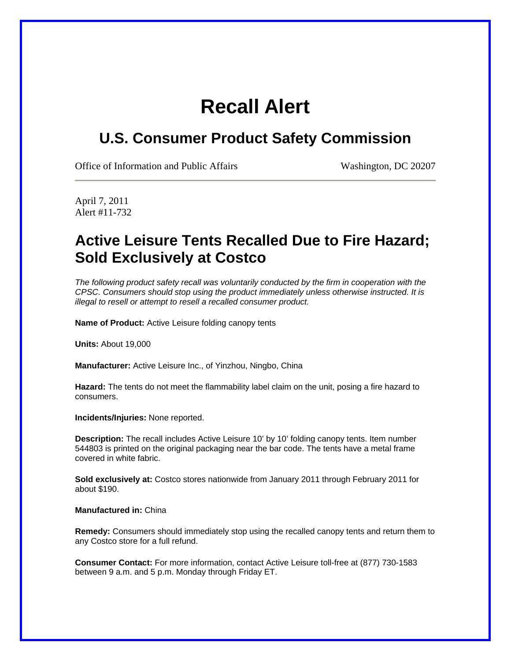## **Recall Alert**

## **U.S. Consumer Product Safety Commission**

Office of Information and Public Affairs Washington, DC 20207

April 7, 2011 Alert #11-732

## **Active Leisure Tents Recalled Due to Fire Hazard; Sold Exclusively at Costco**

*The following product safety recall was voluntarily conducted by the firm in cooperation with the CPSC. Consumers should stop using the product immediately unless otherwise instructed. It is illegal to resell or attempt to resell a recalled consumer product.* 

**Name of Product:** Active Leisure folding canopy tents

**Units:** About 19,000

**Manufacturer:** Active Leisure Inc., of Yinzhou, Ningbo, China

**Hazard:** The tents do not meet the flammability label claim on the unit, posing a fire hazard to consumers.

**Incidents/Injuries:** None reported.

**Description:** The recall includes Active Leisure 10' by 10' folding canopy tents. Item number 544803 is printed on the original packaging near the bar code. The tents have a metal frame covered in white fabric.

**Sold exclusively at:** Costco stores nationwide from January 2011 through February 2011 for about \$190.

**Manufactured in:** China

**Remedy:** Consumers should immediately stop using the recalled canopy tents and return them to any Costco store for a full refund.

**Consumer Contact:** For more information, contact Active Leisure toll-free at (877) 730-1583 between 9 a.m. and 5 p.m. Monday through Friday ET.